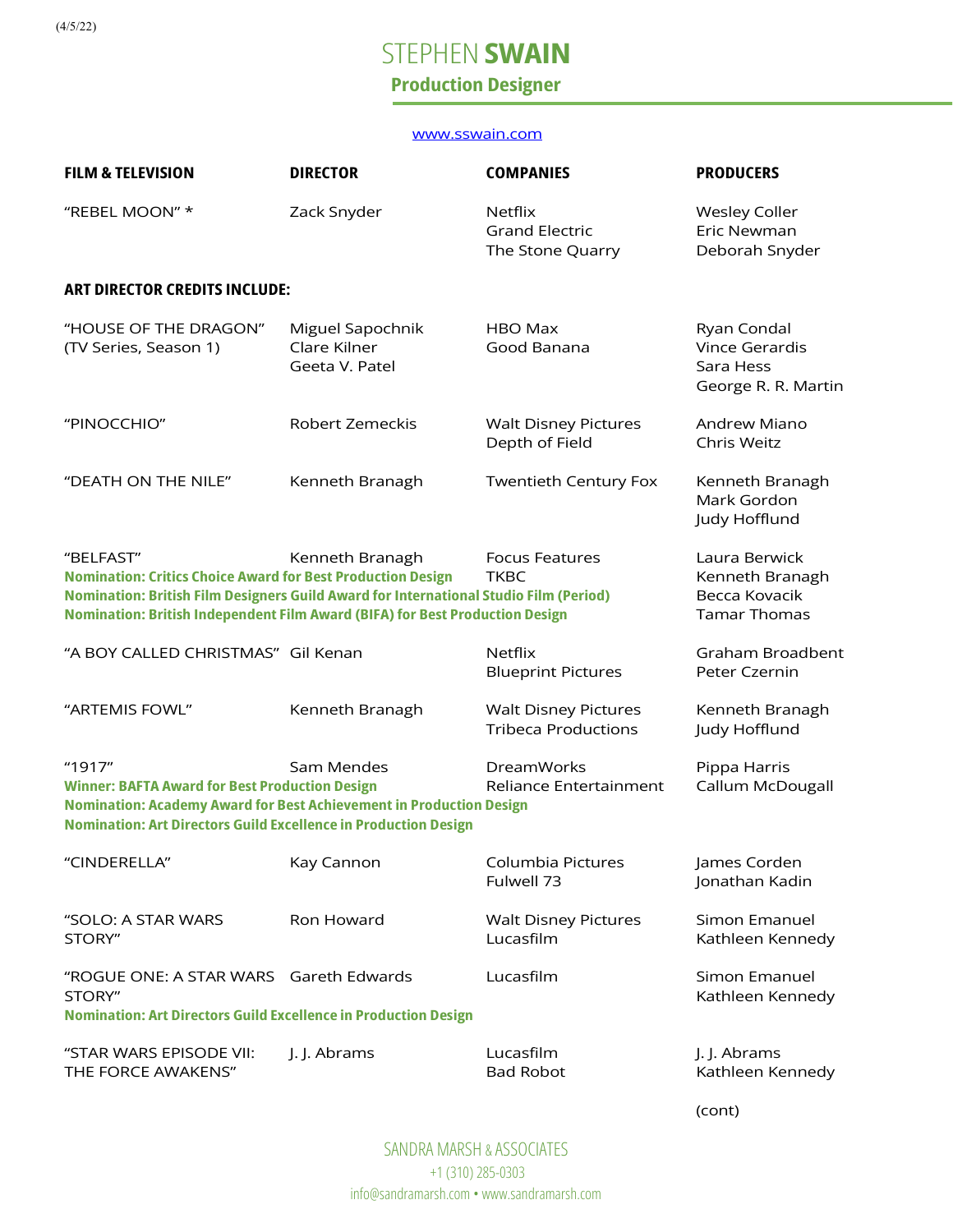(4/5/22)

# **STEPHEN SWAIN**

### Production Designer

#### www.sswain.com

| <b>FILM &amp; TELEVISION</b>                                                                                                                                                                                                                                    | <b>DIRECTOR</b>                                    | <b>COMPANIES</b>                                            | <b>PRODUCERS</b>                                                         |  |  |  |
|-----------------------------------------------------------------------------------------------------------------------------------------------------------------------------------------------------------------------------------------------------------------|----------------------------------------------------|-------------------------------------------------------------|--------------------------------------------------------------------------|--|--|--|
| "REBEL MOON" *                                                                                                                                                                                                                                                  | Zack Snyder                                        | <b>Netflix</b><br><b>Grand Electric</b><br>The Stone Quarry | <b>Wesley Coller</b><br>Eric Newman<br>Deborah Snyder                    |  |  |  |
| <b>ART DIRECTOR CREDITS INCLUDE:</b>                                                                                                                                                                                                                            |                                                    |                                                             |                                                                          |  |  |  |
| "HOUSE OF THE DRAGON"<br>(TV Series, Season 1)                                                                                                                                                                                                                  | Miguel Sapochnik<br>Clare Kilner<br>Geeta V. Patel | HBO Max<br>Good Banana                                      | Ryan Condal<br><b>Vince Gerardis</b><br>Sara Hess<br>George R. R. Martin |  |  |  |
| "PINOCCHIO"                                                                                                                                                                                                                                                     | Robert Zemeckis                                    | <b>Walt Disney Pictures</b><br>Depth of Field               | <b>Andrew Miano</b><br>Chris Weitz                                       |  |  |  |
| "DEATH ON THE NILE"                                                                                                                                                                                                                                             | Kenneth Branagh                                    | <b>Twentieth Century Fox</b>                                | Kenneth Branagh<br>Mark Gordon<br>Judy Hofflund                          |  |  |  |
| "BELFAST"<br><b>Nomination: Critics Choice Award for Best Production Design</b><br><b>Nomination: British Film Designers Guild Award for International Studio Film (Period)</b><br>Nomination: British Independent Film Award (BIFA) for Best Production Design | Kenneth Branagh                                    | <b>Focus Features</b><br><b>TKBC</b>                        | Laura Berwick<br>Kenneth Branagh<br>Becca Kovacik<br><b>Tamar Thomas</b> |  |  |  |
| "A BOY CALLED CHRISTMAS" Gil Kenan                                                                                                                                                                                                                              |                                                    | <b>Netflix</b><br><b>Blueprint Pictures</b>                 | Graham Broadbent<br>Peter Czernin                                        |  |  |  |
| "ARTEMIS FOWL"                                                                                                                                                                                                                                                  | Kenneth Branagh                                    | <b>Walt Disney Pictures</b><br><b>Tribeca Productions</b>   | Kenneth Branagh<br>Judy Hofflund                                         |  |  |  |
| "1917"<br><b>Winner: BAFTA Award for Best Production Design</b><br>Nomination: Academy Award for Best Achievement in Production Design<br><b>Nomination: Art Directors Guild Excellence in Production Design</b>                                                | Sam Mendes                                         | <b>DreamWorks</b><br>Reliance Entertainment                 | Pippa Harris<br>Callum McDougall                                         |  |  |  |
| "CINDERELLA"                                                                                                                                                                                                                                                    | Kay Cannon                                         | Columbia Pictures<br>Fulwell 73                             | James Corden<br>Jonathan Kadin                                           |  |  |  |
| "SOLO: A STAR WARS<br>STORY"                                                                                                                                                                                                                                    | Ron Howard                                         | <b>Walt Disney Pictures</b><br>Lucasfilm                    | Simon Emanuel<br>Kathleen Kennedy                                        |  |  |  |
| "ROGUE ONE: A STAR WARS Gareth Edwards<br>STORY"                                                                                                                                                                                                                |                                                    | Lucasfilm                                                   | Simon Emanuel<br>Kathleen Kennedy                                        |  |  |  |
| <b>Nomination: Art Directors Guild Excellence in Production Design</b>                                                                                                                                                                                          |                                                    |                                                             |                                                                          |  |  |  |
| "STAR WARS EPISODE VII:<br>THE FORCE AWAKENS"                                                                                                                                                                                                                   | J. J. Abrams                                       | Lucasfilm<br><b>Bad Robot</b>                               | J. J. Abrams<br>Kathleen Kennedy                                         |  |  |  |
|                                                                                                                                                                                                                                                                 |                                                    |                                                             | (cont)                                                                   |  |  |  |